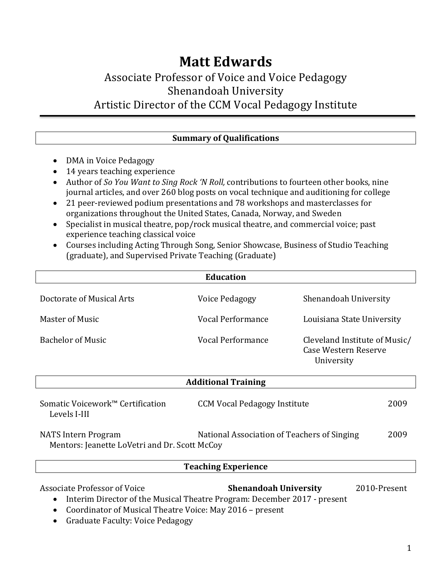# **Matt Edwards** Associate Professor of Voice and Voice Pedagogy Shenandoah University Artistic Director of the CCM Vocal Pedagogy Institute

| <b>Summary of Qualifications</b>                                                        |  |  |
|-----------------------------------------------------------------------------------------|--|--|
| • DMA in Voice Pedagogy                                                                 |  |  |
| • 14 years teaching experience                                                          |  |  |
| Author of So You Want to Sing Rock 'N Roll, contributions to fourteen other books, nine |  |  |

- journal articles, and over 260 blog posts on vocal technique and auditioning for college
- 21 peer-reviewed podium presentations and 78 workshops and masterclasses for organizations throughout the United States, Canada, Norway, and Sweden
- Specialist in musical theatre, pop/rock musical theatre, and commercial voice; past experience teaching classical voice
- Courses including Acting Through Song, Senior Showcase, Business of Studio Teaching (graduate), and Supervised Private Teaching (Graduate)

| <b>Education</b>                                                            |                                             |                                                                     |  |
|-----------------------------------------------------------------------------|---------------------------------------------|---------------------------------------------------------------------|--|
| Doctorate of Musical Arts                                                   | Voice Pedagogy                              | Shenandoah University                                               |  |
| Master of Music                                                             | Vocal Performance                           | Louisiana State University                                          |  |
| <b>Bachelor of Music</b>                                                    | Vocal Performance                           | Cleveland Institute of Music/<br>Case Western Reserve<br>University |  |
|                                                                             | <b>Additional Training</b>                  |                                                                     |  |
| Somatic Voicework™ Certification<br>Levels I-III                            | <b>CCM Vocal Pedagogy Institute</b>         | 2009                                                                |  |
| <b>NATS</b> Intern Program<br>Mentors: Jeanette LoVetri and Dr. Scott McCoy | National Association of Teachers of Singing | 2009                                                                |  |

## **Teaching Experience**

Associate Professor of Voice *Shenandoah University* 2010-Present • Interim Director of the Musical Theatre Program: December 2017 - present • Coordinator of Musical Theatre Voice: May 2016 - present

• Graduate Faculty: Voice Pedagogy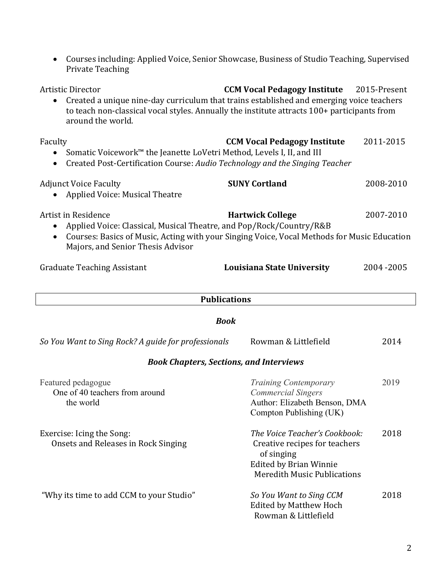| <b>Artistic Director</b><br><b>CCM Vocal Pedagogy Institute</b><br>2015-Present<br>Created a unique nine-day curriculum that trains established and emerging voice teachers<br>$\bullet$<br>to teach non-classical vocal styles. Annually the institute attracts 100+ participants from<br>around the world. |                                                                                                                                                     |             |  |
|--------------------------------------------------------------------------------------------------------------------------------------------------------------------------------------------------------------------------------------------------------------------------------------------------------------|-----------------------------------------------------------------------------------------------------------------------------------------------------|-------------|--|
| Faculty<br>Somatic Voicework™ the Jeanette LoVetri Method, Levels I, II, and III<br>Created Post-Certification Course: Audio Technology and the Singing Teacher                                                                                                                                              | <b>CCM Vocal Pedagogy Institute</b>                                                                                                                 | 2011-2015   |  |
| <b>Adjunct Voice Faculty</b><br><b>Applied Voice: Musical Theatre</b>                                                                                                                                                                                                                                        | <b>SUNY Cortland</b>                                                                                                                                | 2008-2010   |  |
| Artist in Residence<br>Applied Voice: Classical, Musical Theatre, and Pop/Rock/Country/R&B<br>$\bullet$<br>Courses: Basics of Music, Acting with your Singing Voice, Vocal Methods for Music Education<br>$\bullet$<br>Majors, and Senior Thesis Advisor                                                     | <b>Hartwick College</b>                                                                                                                             | 2007-2010   |  |
| <b>Graduate Teaching Assistant</b>                                                                                                                                                                                                                                                                           | Louisiana State University                                                                                                                          | 2004 - 2005 |  |
|                                                                                                                                                                                                                                                                                                              | <b>Publications</b>                                                                                                                                 |             |  |
|                                                                                                                                                                                                                                                                                                              | <b>Book</b>                                                                                                                                         |             |  |
| So You Want to Sing Rock? A guide for professionals                                                                                                                                                                                                                                                          | Rowman & Littlefield                                                                                                                                | 2014        |  |
|                                                                                                                                                                                                                                                                                                              | <b>Book Chapters, Sections, and Interviews</b>                                                                                                      |             |  |
| Featured pedagogue<br>One of 40 teachers from around<br>the world                                                                                                                                                                                                                                            | <b>Training Contemporary</b><br><b>Commercial Singers</b><br>Author: Elizabeth Benson, DMA<br>Compton Publishing (UK)                               | 2019        |  |
| Exercise: Icing the Song:<br>Onsets and Releases in Rock Singing                                                                                                                                                                                                                                             | The Voice Teacher's Cookbook:<br>Creative recipes for teachers<br>of singing<br><b>Edited by Brian Winnie</b><br><b>Meredith Music Publications</b> | 2018        |  |
| "Why its time to add CCM to your Studio"                                                                                                                                                                                                                                                                     | So You Want to Sing CCM<br><b>Edited by Matthew Hoch</b>                                                                                            | 2018        |  |

 Rowman & Littlefield

• Courses including: Applied Voice, Senior Showcase, Business of Studio Teaching, Supervised

Private Teaching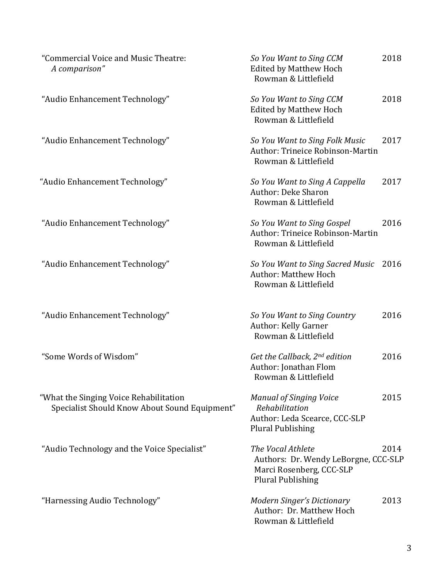| "Commercial Voice and Music Theatre:<br>A comparison"                                   | So You Want to Sing CCM<br><b>Edited by Matthew Hoch</b><br>Rowman & Littlefield                                  | 2018 |
|-----------------------------------------------------------------------------------------|-------------------------------------------------------------------------------------------------------------------|------|
| "Audio Enhancement Technology"                                                          | So You Want to Sing CCM<br><b>Edited by Matthew Hoch</b><br>Rowman & Littlefield                                  | 2018 |
| "Audio Enhancement Technology"                                                          | So You Want to Sing Folk Music<br>Author: Trineice Robinson-Martin<br>Rowman & Littlefield                        | 2017 |
| "Audio Enhancement Technology"                                                          | So You Want to Sing A Cappella<br><b>Author: Deke Sharon</b><br>Rowman & Littlefield                              | 2017 |
| "Audio Enhancement Technology"                                                          | So You Want to Sing Gospel<br><b>Author: Trineice Robinson-Martin</b><br>Rowman & Littlefield                     | 2016 |
| "Audio Enhancement Technology"                                                          | So You Want to Sing Sacred Music<br><b>Author: Matthew Hoch</b><br>Rowman & Littlefield                           | 2016 |
| "Audio Enhancement Technology"                                                          | So You Want to Sing Country<br>Author: Kelly Garner<br>Rowman & Littlefield                                       | 2016 |
| "Some Words of Wisdom"                                                                  | Get the Callback, $2^{nd}$ edition<br>Author: Jonathan Flom<br>Rowman & Littlefield                               | 2016 |
| "What the Singing Voice Rehabilitation<br>Specialist Should Know About Sound Equipment" | <b>Manual of Singing Voice</b><br>Rehabilitation<br>Author: Leda Scearce, CCC-SLP<br><b>Plural Publishing</b>     | 2015 |
| "Audio Technology and the Voice Specialist"                                             | The Vocal Athlete<br>Authors: Dr. Wendy LeBorgne, CCC-SLP<br>Marci Rosenberg, CCC-SLP<br><b>Plural Publishing</b> | 2014 |
| "Harnessing Audio Technology"                                                           | <b>Modern Singer's Dictionary</b><br>Author: Dr. Matthew Hoch<br>Rowman & Littlefield                             | 2013 |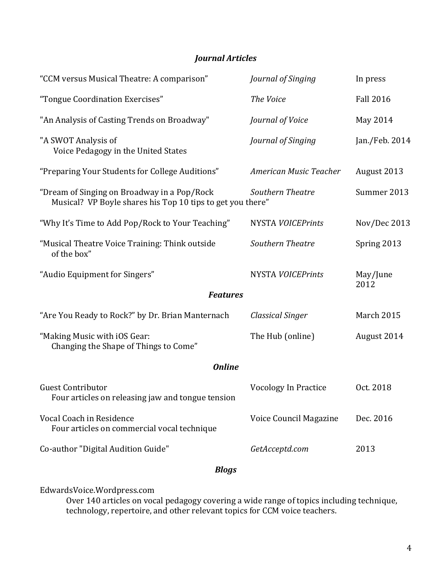### *Journal Articles*

| "CCM versus Musical Theatre: A comparison"                                                                | Journal of Singing          | In press         |  |
|-----------------------------------------------------------------------------------------------------------|-----------------------------|------------------|--|
| "Tongue Coordination Exercises"                                                                           | The Voice                   | <b>Fall 2016</b> |  |
| "An Analysis of Casting Trends on Broadway"                                                               | Journal of Voice            | May 2014         |  |
| "A SWOT Analysis of<br>Voice Pedagogy in the United States                                                | Journal of Singing          | Jan./Feb. 2014   |  |
| "Preparing Your Students for College Auditions"                                                           | American Music Teacher      | August 2013      |  |
| "Dream of Singing on Broadway in a Pop/Rock<br>Musical? VP Boyle shares his Top 10 tips to get you there" | Southern Theatre            | Summer 2013      |  |
| "Why It's Time to Add Pop/Rock to Your Teaching"                                                          | <b>NYSTA VOICEPrints</b>    | Nov/Dec 2013     |  |
| "Musical Theatre Voice Training: Think outside<br>of the box"                                             | Southern Theatre            | Spring 2013      |  |
| "Audio Equipment for Singers"                                                                             | <b>NYSTA VOICEPrints</b>    | May/June<br>2012 |  |
| <b>Features</b>                                                                                           |                             |                  |  |
| "Are You Ready to Rock?" by Dr. Brian Manternach                                                          | Classical Singer            | March 2015       |  |
| "Making Music with iOS Gear:<br>Changing the Shape of Things to Come"                                     | The Hub (online)            | August 2014      |  |
| <b>Online</b>                                                                                             |                             |                  |  |
| <b>Guest Contributor</b><br>Four articles on releasing jaw and tongue tension                             | <b>Vocology In Practice</b> | Oct. 2018        |  |
| Vocal Coach in Residence<br>Four articles on commercial vocal technique                                   | Voice Council Magazine      | Dec. 2016        |  |
| Co-author "Digital Audition Guide"                                                                        | GetAcceptd.com              | 2013             |  |

#### *Blogs*

EdwardsVoice.Wordpress.com

Over 140 articles on vocal pedagogy covering a wide range of topics including technique, technology, repertoire, and other relevant topics for CCM voice teachers.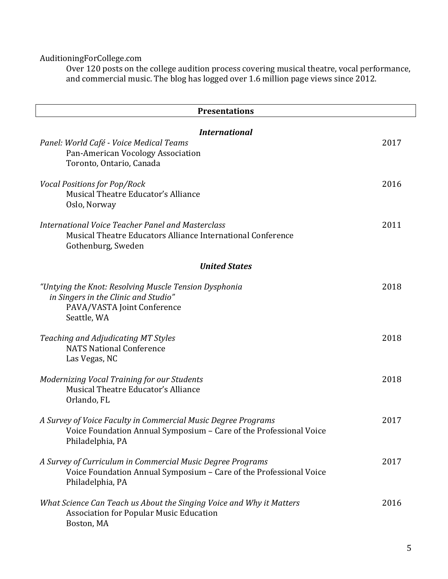AuditioningForCollege.com

Over 120 posts on the college audition process covering musical theatre, vocal performance, and commercial music. The blog has logged over 1.6 million page views since 2012.

| <b>Presentations</b>                                                                                                                                    |      |  |
|---------------------------------------------------------------------------------------------------------------------------------------------------------|------|--|
| <b>International</b><br>Panel: World Café - Voice Medical Teams<br>Pan-American Vocology Association                                                    | 2017 |  |
| Toronto, Ontario, Canada<br><b>Vocal Positions for Pop/Rock</b><br>Musical Theatre Educator's Alliance                                                  | 2016 |  |
| Oslo, Norway<br>International Voice Teacher Panel and Masterclass<br>Musical Theatre Educators Alliance International Conference<br>Gothenburg, Sweden  | 2011 |  |
| <b>United States</b>                                                                                                                                    |      |  |
| "Untying the Knot: Resolving Muscle Tension Dysphonia<br>in Singers in the Clinic and Studio"<br>PAVA/VASTA Joint Conference<br>Seattle, WA             | 2018 |  |
| Teaching and Adjudicating MT Styles<br><b>NATS National Conference</b><br>Las Vegas, NC                                                                 | 2018 |  |
| Modernizing Vocal Training for our Students<br>Musical Theatre Educator's Alliance<br>Orlando, FL                                                       | 2018 |  |
| A Survey of Voice Faculty in Commercial Music Degree Programs<br>Voice Foundation Annual Symposium - Care of the Professional Voice<br>Philadelphia, PA | 2017 |  |
| A Survey of Curriculum in Commercial Music Degree Programs<br>Voice Foundation Annual Symposium - Care of the Professional Voice<br>Philadelphia, PA    | 2017 |  |
| What Science Can Teach us About the Singing Voice and Why it Matters<br><b>Association for Popular Music Education</b><br>Boston, MA                    | 2016 |  |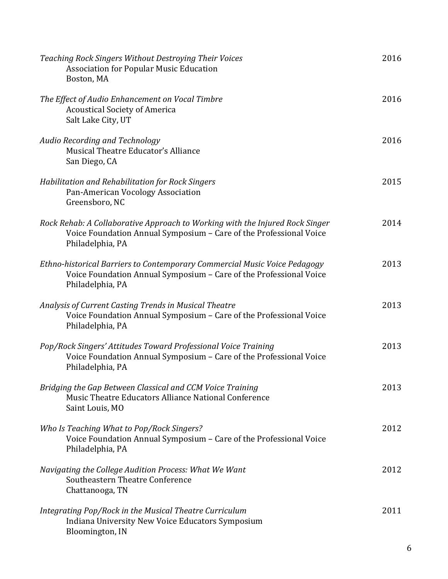| Teaching Rock Singers Without Destroying Their Voices<br><b>Association for Popular Music Education</b><br>Boston, MA                                                  | 2016 |
|------------------------------------------------------------------------------------------------------------------------------------------------------------------------|------|
| The Effect of Audio Enhancement on Vocal Timbre<br><b>Acoustical Society of America</b><br>Salt Lake City, UT                                                          | 2016 |
| Audio Recording and Technology<br>Musical Theatre Educator's Alliance<br>San Diego, CA                                                                                 | 2016 |
| Habilitation and Rehabilitation for Rock Singers<br>Pan-American Vocology Association<br>Greensboro, NC                                                                | 2015 |
| Rock Rehab: A Collaborative Approach to Working with the Injured Rock Singer<br>Voice Foundation Annual Symposium - Care of the Professional Voice<br>Philadelphia, PA | 2014 |
| Ethno-historical Barriers to Contemporary Commercial Music Voice Pedagogy<br>Voice Foundation Annual Symposium - Care of the Professional Voice<br>Philadelphia, PA    | 2013 |
| Analysis of Current Casting Trends in Musical Theatre<br>Voice Foundation Annual Symposium - Care of the Professional Voice<br>Philadelphia, PA                        | 2013 |
| Pop/Rock Singers' Attitudes Toward Professional Voice Training<br>Voice Foundation Annual Symposium - Care of the Professional Voice<br>Philadelphia, PA               | 2013 |
| Bridging the Gap Between Classical and CCM Voice Training<br>Music Theatre Educators Alliance National Conference<br>Saint Louis, MO                                   | 2013 |
| Who Is Teaching What to Pop/Rock Singers?<br>Voice Foundation Annual Symposium - Care of the Professional Voice<br>Philadelphia, PA                                    | 2012 |
| Navigating the College Audition Process: What We Want<br><b>Southeastern Theatre Conference</b><br>Chattanooga, TN                                                     | 2012 |
| Integrating Pop/Rock in the Musical Theatre Curriculum<br>Indiana University New Voice Educators Symposium<br>Bloomington, IN                                          | 2011 |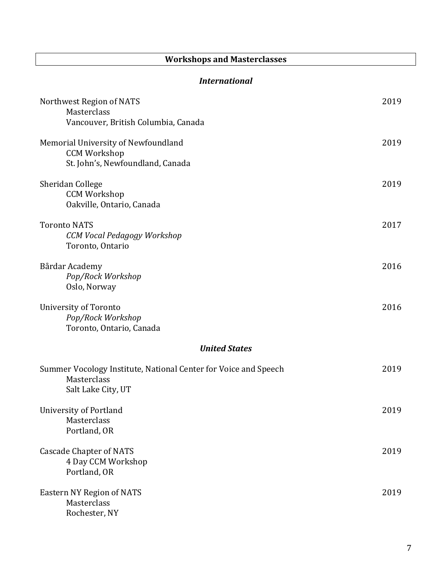## **Workshops and Masterclasses**

#### *International*

| Northwest Region of NATS<br>Masterclass<br>Vancouver, British Columbia, Canada                       | 2019 |  |
|------------------------------------------------------------------------------------------------------|------|--|
| Memorial University of Newfoundland<br><b>CCM Workshop</b><br>St. John's, Newfoundland, Canada       | 2019 |  |
| Sheridan College<br><b>CCM Workshop</b><br>Oakville, Ontario, Canada                                 | 2019 |  |
| <b>Toronto NATS</b><br>CCM Vocal Pedagogy Workshop<br>Toronto, Ontario                               | 2017 |  |
| Bårdar Academy<br>Pop/Rock Workshop<br>Oslo, Norway                                                  | 2016 |  |
| University of Toronto<br>Pop/Rock Workshop<br>Toronto, Ontario, Canada                               | 2016 |  |
| <b>United States</b>                                                                                 |      |  |
| Summer Vocology Institute, National Center for Voice and Speech<br>Masterclass<br>Salt Lake City, UT | 2019 |  |
| University of Portland<br>Masterclass<br>Portland, OR                                                | 2019 |  |
| <b>Cascade Chapter of NATS</b><br>4 Day CCM Workshop<br>Portland, OR                                 | 2019 |  |
| <b>Eastern NY Region of NATS</b><br>Masterclass<br>Rochester, NY                                     | 2019 |  |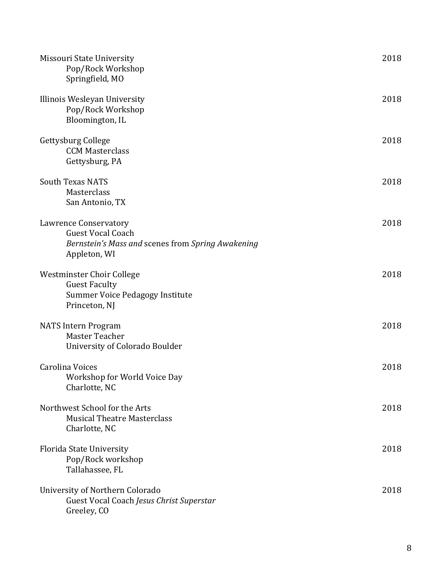| Missouri State University<br>Pop/Rock Workshop<br>Springfield, MO                                                             | 2018 |
|-------------------------------------------------------------------------------------------------------------------------------|------|
| Illinois Wesleyan University<br>Pop/Rock Workshop<br>Bloomington, IL                                                          | 2018 |
| Gettysburg College<br><b>CCM Masterclass</b><br>Gettysburg, PA                                                                | 2018 |
| <b>South Texas NATS</b><br>Masterclass<br>San Antonio, TX                                                                     | 2018 |
| <b>Lawrence Conservatory</b><br><b>Guest Vocal Coach</b><br>Bernstein's Mass and scenes from Spring Awakening<br>Appleton, WI | 2018 |
| Westminster Choir College<br><b>Guest Faculty</b><br>Summer Voice Pedagogy Institute<br>Princeton, NJ                         | 2018 |
| <b>NATS Intern Program</b><br>Master Teacher<br>University of Colorado Boulder                                                | 2018 |
| Carolina Voices<br>Workshop for World Voice Day<br>Charlotte, NC                                                              | 2018 |
| Northwest School for the Arts<br><b>Musical Theatre Masterclass</b><br>Charlotte, NC                                          | 2018 |
| <b>Florida State University</b><br>Pop/Rock workshop<br>Tallahassee, FL                                                       | 2018 |
| University of Northern Colorado<br>Guest Vocal Coach Jesus Christ Superstar<br>Greeley, CO                                    | 2018 |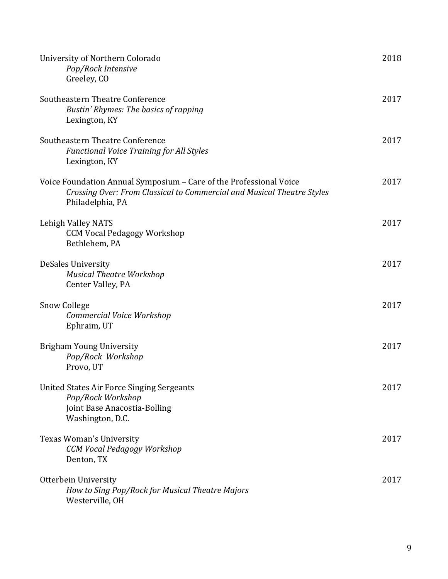| University of Northern Colorado<br>Pop/Rock Intensive<br>Greeley, CO                                                                                             | 2018 |
|------------------------------------------------------------------------------------------------------------------------------------------------------------------|------|
| Southeastern Theatre Conference<br>Bustin' Rhymes: The basics of rapping<br>Lexington, KY                                                                        | 2017 |
| Southeastern Theatre Conference<br><b>Functional Voice Training for All Styles</b><br>Lexington, KY                                                              | 2017 |
| Voice Foundation Annual Symposium - Care of the Professional Voice<br>Crossing Over: From Classical to Commercial and Musical Theatre Styles<br>Philadelphia, PA | 2017 |
| Lehigh Valley NATS<br><b>CCM Vocal Pedagogy Workshop</b><br>Bethlehem, PA                                                                                        | 2017 |
| DeSales University<br><b>Musical Theatre Workshop</b><br>Center Valley, PA                                                                                       | 2017 |
| <b>Snow College</b><br>Commercial Voice Workshop<br>Ephraim, UT                                                                                                  | 2017 |
| <b>Brigham Young University</b><br>Pop/Rock Workshop<br>Provo, UT                                                                                                | 2017 |
| <b>United States Air Force Singing Sergeants</b><br>Pop/Rock Workshop<br>Joint Base Anacostia-Bolling<br>Washington, D.C.                                        | 2017 |
| Texas Woman's University<br>CCM Vocal Pedagogy Workshop<br>Denton, TX                                                                                            | 2017 |
| Otterbein University<br>How to Sing Pop/Rock for Musical Theatre Majors<br>Westerville, OH                                                                       | 2017 |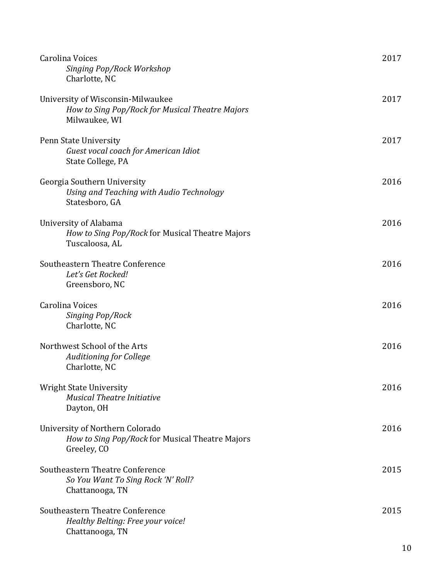| Carolina Voices<br>Singing Pop/Rock Workshop<br>Charlotte, NC                                         | 2017 |
|-------------------------------------------------------------------------------------------------------|------|
| University of Wisconsin-Milwaukee<br>How to Sing Pop/Rock for Musical Theatre Majors<br>Milwaukee, WI | 2017 |
| Penn State University<br>Guest vocal coach for American Idiot<br>State College, PA                    | 2017 |
| Georgia Southern University<br>Using and Teaching with Audio Technology<br>Statesboro, GA             | 2016 |
| University of Alabama<br>How to Sing Pop/Rock for Musical Theatre Majors<br>Tuscaloosa, AL            | 2016 |
| Southeastern Theatre Conference<br>Let's Get Rocked!<br>Greensboro, NC                                | 2016 |
| Carolina Voices<br>Singing Pop/Rock<br>Charlotte, NC                                                  | 2016 |
| Northwest School of the Arts<br><b>Auditioning for College</b><br>Charlotte, NC                       | 2016 |
| <b>Wright State University</b><br><b>Musical Theatre Initiative</b><br>Dayton, OH                     | 2016 |
| University of Northern Colorado<br>How to Sing Pop/Rock for Musical Theatre Majors<br>Greeley, CO     | 2016 |
| Southeastern Theatre Conference<br>So You Want To Sing Rock 'N' Roll?<br>Chattanooga, TN              | 2015 |
| Southeastern Theatre Conference<br>Healthy Belting: Free your voice!<br>Chattanooga, TN               | 2015 |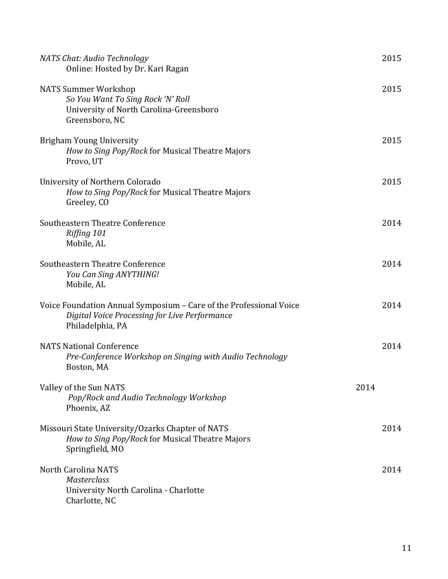| NATS Chat: Audio Technology<br>Online: Hosted by Dr. Kari Ragan                                                                         |      | 2015 |
|-----------------------------------------------------------------------------------------------------------------------------------------|------|------|
| <b>NATS Summer Workshop</b><br>So You Want To Sing Rock 'N' Roll<br>University of North Carolina-Greensboro<br>Greensboro, NC           |      | 2015 |
| <b>Brigham Young University</b><br>How to Sing Pop/Rock for Musical Theatre Majors<br>Provo, UT                                         |      | 2015 |
| University of Northern Colorado<br>How to Sing Pop/Rock for Musical Theatre Majors<br>Greeley, CO                                       |      | 2015 |
| Southeastern Theatre Conference<br>Riffing 101<br>Mobile, AL                                                                            |      | 2014 |
| Southeastern Theatre Conference<br>You Can Sing ANYTHING!<br>Mobile, AL                                                                 |      | 2014 |
| Voice Foundation Annual Symposium - Care of the Professional Voice<br>Digital Voice Processing for Live Performance<br>Philadelphia, PA |      | 2014 |
| <b>NATS National Conference</b><br>Pre-Conference Workshop on Singing with Audio Technology<br>Boston, MA                               |      | 2014 |
| Valley of the Sun NATS<br>Pop/Rock and Audio Technology Workshop<br>Phoenix, AZ                                                         | 2014 |      |
| Missouri State University/Ozarks Chapter of NATS<br>How to Sing Pop/Rock for Musical Theatre Majors<br>Springfield, MO                  |      | 2014 |
| <b>North Carolina NATS</b><br>Masterclass<br>University North Carolina - Charlotte<br>Charlotte, NC                                     |      | 2014 |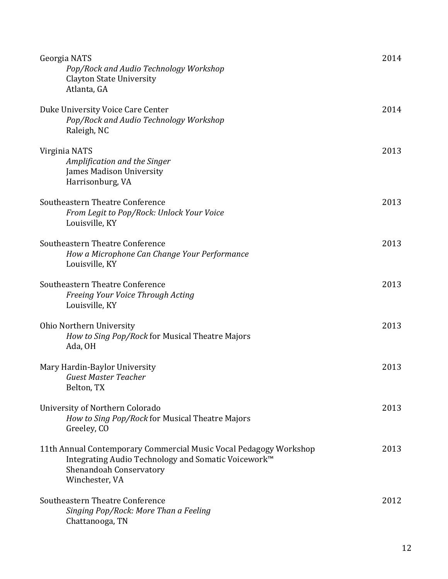| Georgia NATS<br>Pop/Rock and Audio Technology Workshop<br><b>Clayton State University</b><br>Atlanta, GA                                                              | 2014 |
|-----------------------------------------------------------------------------------------------------------------------------------------------------------------------|------|
| Duke University Voice Care Center<br>Pop/Rock and Audio Technology Workshop<br>Raleigh, NC                                                                            | 2014 |
| Virginia NATS<br>Amplification and the Singer<br>James Madison University<br>Harrisonburg, VA                                                                         | 2013 |
| Southeastern Theatre Conference<br>From Legit to Pop/Rock: Unlock Your Voice<br>Louisville, KY                                                                        | 2013 |
| Southeastern Theatre Conference<br>How a Microphone Can Change Your Performance<br>Louisville, KY                                                                     | 2013 |
| Southeastern Theatre Conference<br>Freeing Your Voice Through Acting<br>Louisville, KY                                                                                | 2013 |
| <b>Ohio Northern University</b><br>How to Sing Pop/Rock for Musical Theatre Majors<br>Ada, OH                                                                         | 2013 |
| Mary Hardin-Baylor University<br><b>Guest Master Teacher</b><br>Belton, TX                                                                                            | 2013 |
| University of Northern Colorado<br>How to Sing Pop/Rock for Musical Theatre Majors<br>Greeley, CO                                                                     | 2013 |
| 11th Annual Contemporary Commercial Music Vocal Pedagogy Workshop<br>Integrating Audio Technology and Somatic Voicework™<br>Shenandoah Conservatory<br>Winchester, VA | 2013 |
| Southeastern Theatre Conference<br>Singing Pop/Rock: More Than a Feeling<br>Chattanooga, TN                                                                           | 2012 |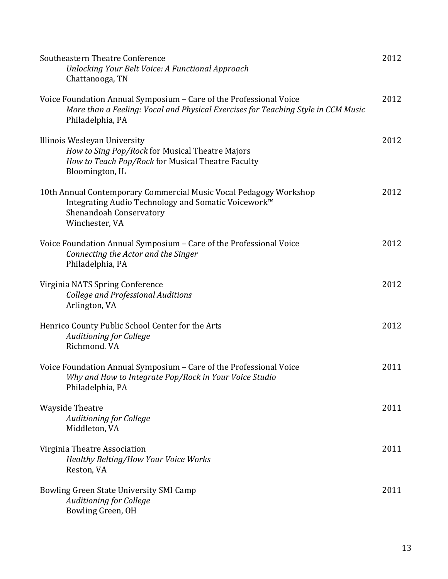| Southeastern Theatre Conference<br>Unlocking Your Belt Voice: A Functional Approach<br>Chattanooga, TN                                                                       | 2012 |
|------------------------------------------------------------------------------------------------------------------------------------------------------------------------------|------|
| Voice Foundation Annual Symposium - Care of the Professional Voice<br>More than a Feeling: Vocal and Physical Exercises for Teaching Style in CCM Music<br>Philadelphia, PA  | 2012 |
| Illinois Wesleyan University<br>How to Sing Pop/Rock for Musical Theatre Majors<br>How to Teach Pop/Rock for Musical Theatre Faculty<br>Bloomington, IL                      | 2012 |
| 10th Annual Contemporary Commercial Music Vocal Pedagogy Workshop<br>Integrating Audio Technology and Somatic Voicework™<br><b>Shenandoah Conservatory</b><br>Winchester, VA | 2012 |
| Voice Foundation Annual Symposium - Care of the Professional Voice<br>Connecting the Actor and the Singer<br>Philadelphia, PA                                                | 2012 |
| Virginia NATS Spring Conference<br><b>College and Professional Auditions</b><br>Arlington, VA                                                                                | 2012 |
| Henrico County Public School Center for the Arts<br><b>Auditioning for College</b><br>Richmond. VA                                                                           | 2012 |
| Voice Foundation Annual Symposium - Care of the Professional Voice<br>Why and How to Integrate Pop/Rock in Your Voice Studio<br>Philadelphia, PA                             | 2011 |
| <b>Wayside Theatre</b><br><b>Auditioning for College</b><br>Middleton, VA                                                                                                    | 2011 |
| Virginia Theatre Association<br>Healthy Belting/How Your Voice Works<br>Reston, VA                                                                                           | 2011 |
| Bowling Green State University SMI Camp<br><b>Auditioning for College</b><br>Bowling Green, OH                                                                               | 2011 |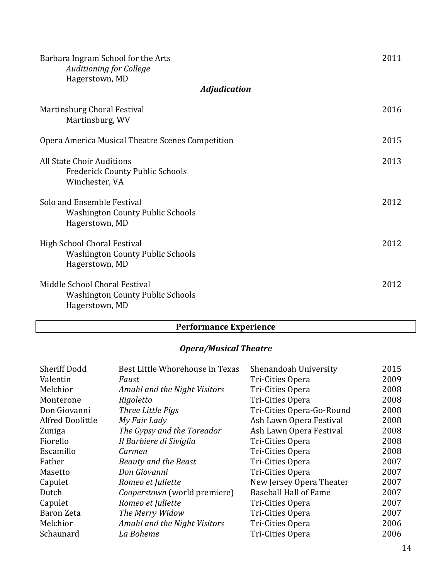| Barbara Ingram School for the Arts<br><b>Auditioning for College</b><br>Hagerstown, MD     | 2011 |
|--------------------------------------------------------------------------------------------|------|
| <b>Adjudication</b>                                                                        |      |
| Martinsburg Choral Festival<br>Martinsburg, WV                                             | 2016 |
| Opera America Musical Theatre Scenes Competition                                           | 2015 |
| All State Choir Auditions<br><b>Frederick County Public Schools</b><br>Winchester, VA      | 2013 |
| Solo and Ensemble Festival<br><b>Washington County Public Schools</b><br>Hagerstown, MD    | 2012 |
| High School Choral Festival<br><b>Washington County Public Schools</b><br>Hagerstown, MD   | 2012 |
| Middle School Choral Festival<br><b>Washington County Public Schools</b><br>Hagerstown, MD | 2012 |

## **Performance Experience**

## *Opera/Musical Theatre*

| <b>Sheriff Dodd</b>     | Best Little Whorehouse in Texas | Shenandoah University        | 2015 |
|-------------------------|---------------------------------|------------------------------|------|
| Valentin                | Faust                           | Tri-Cities Opera             | 2009 |
| Melchior                | Amahl and the Night Visitors    | Tri-Cities Opera             | 2008 |
| Monterone               | Rigoletto                       | Tri-Cities Opera             | 2008 |
| Don Giovanni            | Three Little Pigs               | Tri-Cities Opera-Go-Round    | 2008 |
| <b>Alfred Doolittle</b> | My Fair Lady                    | Ash Lawn Opera Festival      | 2008 |
| Zuniga                  | The Gypsy and the Toreador      | Ash Lawn Opera Festival      | 2008 |
| Fiorello                | Il Barbiere di Siviglia         | Tri-Cities Opera             | 2008 |
| Escamillo               | Carmen                          | Tri-Cities Opera             | 2008 |
| Father                  | <b>Beauty and the Beast</b>     | Tri-Cities Opera             | 2007 |
| Masetto                 | Don Giovanni                    | Tri-Cities Opera             | 2007 |
| Capulet                 | Romeo et Juliette               | New Jersey Opera Theater     | 2007 |
| Dutch                   | Cooperstown (world premiere)    | <b>Baseball Hall of Fame</b> | 2007 |
| Capulet                 | Romeo et Juliette               | Tri-Cities Opera             | 2007 |
| Baron Zeta              | The Merry Widow                 | Tri-Cities Opera             | 2007 |
| Melchior                | Amahl and the Night Visitors    | Tri-Cities Opera             | 2006 |
| Schaunard               | La Boheme                       | Tri-Cities Opera             | 2006 |
|                         |                                 |                              |      |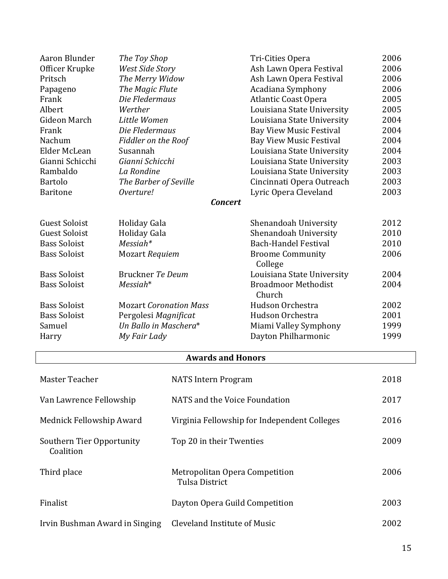| Aaron Blunder        | The Toy Shop                  | Tri-Cities Opera               | 2006 |
|----------------------|-------------------------------|--------------------------------|------|
| Officer Krupke       | West Side Story               | Ash Lawn Opera Festival        | 2006 |
| Pritsch              | The Merry Widow               | Ash Lawn Opera Festival        | 2006 |
| Papageno             | The Magic Flute               | Acadiana Symphony              | 2006 |
| Frank                | Die Fledermaus                | <b>Atlantic Coast Opera</b>    | 2005 |
| Albert               | Werther                       | Louisiana State University     | 2005 |
| <b>Gideon March</b>  | Little Women                  | Louisiana State University     | 2004 |
| Frank                | Die Fledermaus                | <b>Bay View Music Festival</b> | 2004 |
| Nachum               | Fiddler on the Roof           | <b>Bay View Music Festival</b> | 2004 |
| Elder McLean         | Susannah                      | Louisiana State University     | 2004 |
| Gianni Schicchi      | Gianni Schicchi               | Louisiana State University     | 2003 |
| Rambaldo             | La Rondine                    | Louisiana State University     | 2003 |
| <b>Bartolo</b>       | The Barber of Seville         | Cincinnati Opera Outreach      | 2003 |
| <b>Baritone</b>      | Overture!                     | Lyric Opera Cleveland          | 2003 |
|                      | <b>Concert</b>                |                                |      |
| <b>Guest Soloist</b> | Holiday Gala                  | Shenandoah University          | 2012 |
| <b>Guest Soloist</b> | Holiday Gala                  | Shenandoah University          | 2010 |
| <b>Bass Soloist</b>  | $Messian*$                    | <b>Bach-Handel Festival</b>    | 2010 |
| <b>Bass Soloist</b>  | Mozart Requiem                | <b>Broome Community</b>        | 2006 |
|                      |                               | College                        |      |
| <b>Bass Soloist</b>  | Bruckner Te Deum              | Louisiana State University     | 2004 |
| <b>Bass Soloist</b>  | $Messian*$                    | <b>Broadmoor Methodist</b>     | 2004 |
|                      |                               | Church                         |      |
| <b>Bass Soloist</b>  | <b>Mozart Coronation Mass</b> | Hudson Orchestra               | 2002 |
| <b>Bass Soloist</b>  | Pergolesi Magnificat          | Hudson Orchestra               | 2001 |
| Samuel               | Un Ballo in Maschera*         | Miami Valley Symphony          | 1999 |
| Harry                | My Fair Lady                  | Dayton Philharmonic            | 1999 |
|                      |                               |                                |      |

#### **Awards and Honors**

| Master Teacher                         | <b>NATS</b> Intern Program                       | 2018 |
|----------------------------------------|--------------------------------------------------|------|
| Van Lawrence Fellowship                | NATS and the Voice Foundation                    | 2017 |
| Mednick Fellowship Award               | Virginia Fellowship for Independent Colleges     | 2016 |
| Southern Tier Opportunity<br>Coalition | Top 20 in their Twenties                         | 2009 |
| Third place                            | Metropolitan Opera Competition<br>Tulsa District | 2006 |
| Finalist                               | Dayton Opera Guild Competition                   | 2003 |
| Irvin Bushman Award in Singing         | <b>Cleveland Institute of Music</b>              | 2002 |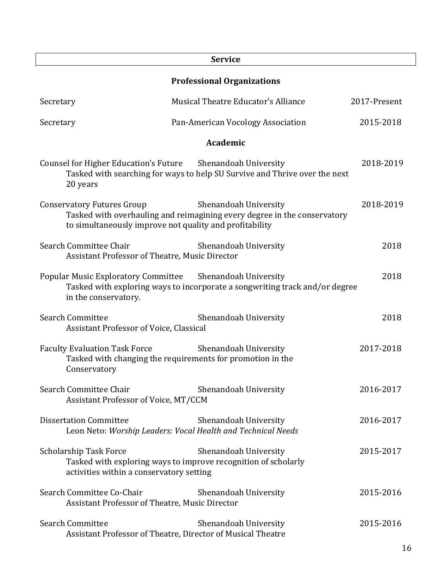|                                                                                                                                             | <b>Service</b>                                                                                    |              |  |
|---------------------------------------------------------------------------------------------------------------------------------------------|---------------------------------------------------------------------------------------------------|--------------|--|
| <b>Professional Organizations</b>                                                                                                           |                                                                                                   |              |  |
| Secretary                                                                                                                                   | Musical Theatre Educator's Alliance                                                               | 2017-Present |  |
| Secretary                                                                                                                                   | Pan-American Vocology Association                                                                 | 2015-2018    |  |
|                                                                                                                                             | <b>Academic</b>                                                                                   |              |  |
| Counsel for Higher Education's Future Shenandoah University<br>20 years                                                                     | Tasked with searching for ways to help SU Survive and Thrive over the next                        | 2018-2019    |  |
| <b>Conservatory Futures Group</b><br>to simultaneously improve not quality and profitability                                                | Shenandoah University<br>Tasked with overhauling and reimagining every degree in the conservatory | 2018-2019    |  |
| Search Committee Chair<br>Assistant Professor of Theatre, Music Director                                                                    | Shenandoah University                                                                             | 2018         |  |
| Popular Music Exploratory Committee Shenandoah University<br>in the conservatory.                                                           | Tasked with exploring ways to incorporate a songwriting track and/or degree                       | 2018         |  |
| <b>Search Committee</b><br>Assistant Professor of Voice, Classical                                                                          | Shenandoah University                                                                             | 2018         |  |
| <b>Faculty Evaluation Task Force</b><br>Tasked with changing the requirements for promotion in the<br>Conservatory                          | Shenandoah University                                                                             | 2017-2018    |  |
| Search Committee Chair<br>Assistant Professor of Voice, MT/CCM                                                                              | Shenandoah University                                                                             | 2016-2017    |  |
| <b>Dissertation Committee</b><br>Leon Neto: Worship Leaders: Vocal Health and Technical Needs                                               | Shenandoah University                                                                             | 2016-2017    |  |
| <b>Scholarship Task Force</b><br>Tasked with exploring ways to improve recognition of scholarly<br>activities within a conservatory setting | Shenandoah University                                                                             | 2015-2017    |  |
| Search Committee Co-Chair<br>Assistant Professor of Theatre, Music Director                                                                 | Shenandoah University                                                                             | 2015-2016    |  |
| <b>Search Committee</b><br>Assistant Professor of Theatre, Director of Musical Theatre                                                      | Shenandoah University                                                                             | 2015-2016    |  |